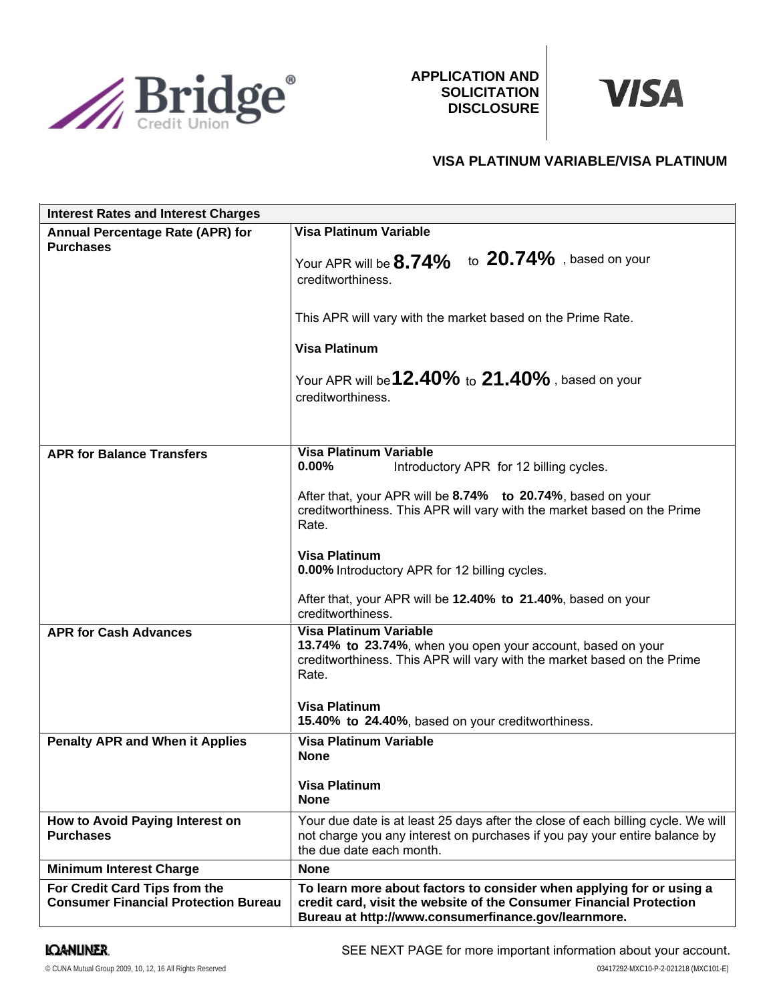

**APPLICATION AND SOLICITATION DISCLOSURE**



# **VISA PLATINUM VARIABLE/VISA PLATINUM**

| <b>Interest Rates and Interest Charges</b>                                   |                                                                                                                                                                                                    |
|------------------------------------------------------------------------------|----------------------------------------------------------------------------------------------------------------------------------------------------------------------------------------------------|
| Annual Percentage Rate (APR) for                                             | <b>Visa Platinum Variable</b>                                                                                                                                                                      |
| <b>Purchases</b>                                                             | Your APR will be 8.74% to 20.74%, based on your<br>creditworthiness.                                                                                                                               |
|                                                                              | This APR will vary with the market based on the Prime Rate.                                                                                                                                        |
|                                                                              | <b>Visa Platinum</b>                                                                                                                                                                               |
|                                                                              | Your APR will be <b>12.40%</b> to 21.40%, based on your<br>creditworthiness.                                                                                                                       |
|                                                                              | <b>Visa Platinum Variable</b>                                                                                                                                                                      |
| <b>APR for Balance Transfers</b>                                             | $0.00\%$<br>Introductory APR for 12 billing cycles.                                                                                                                                                |
|                                                                              | After that, your APR will be 8.74% to 20.74%, based on your<br>creditworthiness. This APR will vary with the market based on the Prime<br>Rate.                                                    |
|                                                                              | <b>Visa Platinum</b><br>0.00% Introductory APR for 12 billing cycles.                                                                                                                              |
|                                                                              | After that, your APR will be 12.40% to 21.40%, based on your<br>creditworthiness.                                                                                                                  |
| <b>APR for Cash Advances</b>                                                 | <b>Visa Platinum Variable</b><br>13.74% to 23.74%, when you open your account, based on your<br>creditworthiness. This APR will vary with the market based on the Prime<br>Rate.                   |
|                                                                              | <b>Visa Platinum</b><br>15.40% to 24.40%, based on your creditworthiness.                                                                                                                          |
| <b>Penalty APR and When it Applies</b>                                       | Visa Platinum Variable<br><b>None</b><br><b>Visa Platinum</b>                                                                                                                                      |
|                                                                              | <b>None</b>                                                                                                                                                                                        |
| How to Avoid Paying Interest on<br><b>Purchases</b>                          | Your due date is at least 25 days after the close of each billing cycle. We will<br>not charge you any interest on purchases if you pay your entire balance by<br>the due date each month.         |
| <b>Minimum Interest Charge</b>                                               | <b>None</b>                                                                                                                                                                                        |
| For Credit Card Tips from the<br><b>Consumer Financial Protection Bureau</b> | To learn more about factors to consider when applying for or using a<br>credit card, visit the website of the Consumer Financial Protection<br>Bureau at http://www.consumerfinance.gov/learnmore. |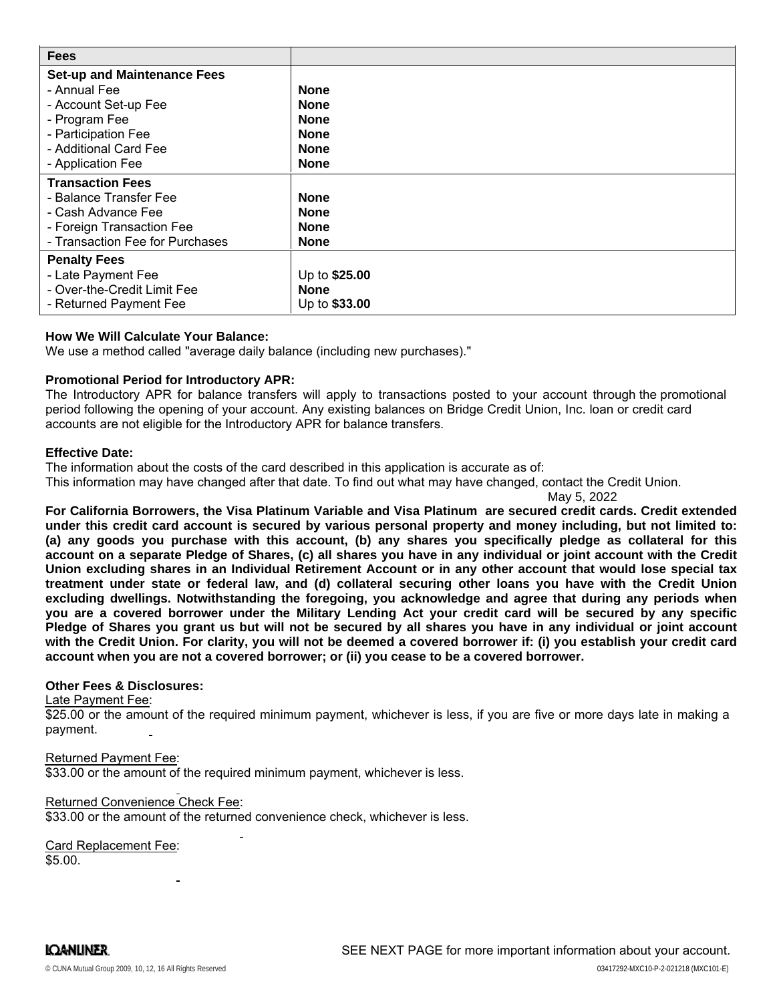| <b>Fees</b>                        |               |
|------------------------------------|---------------|
| <b>Set-up and Maintenance Fees</b> |               |
| - Annual Fee                       | <b>None</b>   |
| - Account Set-up Fee               | <b>None</b>   |
| - Program Fee                      | <b>None</b>   |
| - Participation Fee                | <b>None</b>   |
| - Additional Card Fee              | <b>None</b>   |
| - Application Fee                  | <b>None</b>   |
| <b>Transaction Fees</b>            |               |
| - Balance Transfer Fee             | <b>None</b>   |
| - Cash Advance Fee                 | <b>None</b>   |
| - Foreign Transaction Fee          | <b>None</b>   |
| - Transaction Fee for Purchases    | <b>None</b>   |
| <b>Penalty Fees</b>                |               |
| - Late Payment Fee                 | Up to \$25.00 |
| - Over-the-Credit Limit Fee        | <b>None</b>   |
| - Returned Payment Fee             | Up to \$33.00 |

## **How We Will Calculate Your Balance:**

We use a method called "average daily balance (including new purchases)."

#### **Promotional Period for Introductory APR:**

The Introductory APR for balance transfers will apply to transactions posted to your account through the promotional period following the opening of your account. Any existing balances on Bridge Credit Union, Inc. loan or credit card accounts are not eligible for the Introductory APR for balance transfers.

#### **Effective Date:**

The information about the costs of the card described in this application is accurate as of: This information may have changed after that date. To find out what may have changed, contact the Credit Union.

May 5, 2022

**For California Borrowers, the Visa Platinum Variable and Visa Platinum are secured credit cards. Credit extended** under this credit card account is secured by various personal property and money including, but not limited to: (a) any goods you purchase with this account, (b) any shares you specifically pledge as collateral for this account on a separate Pledge of Shares, (c) all shares you have in any individual or joint account with the Credit Union excluding shares in an Individual Retirement Account or in any other account that would lose special tax treatment under state or federal law, and (d) collateral securing other loans you have with the Credit Union **excluding dwellings. Notwithstanding the foregoing, you acknowledge and agree that during any periods when** you are a covered borrower under the Military Lending Act your credit card will be secured by any specific Pledge of Shares you grant us but will not be secured by all shares you have in any individual or joint account with the Credit Union. For clarity, you will not be deemed a covered borrower if: (i) you establish your credit card **account when you are not a covered borrower; or (ii) you cease to be a covered borrower.**

### **Other Fees & Disclosures:**

Late Payment Fee:

\$25.00 or the amount of the required minimum payment, whichever is less, if you are five or more days late in making a payment.

#### Returned Payment Fee:

\$33.00 or the amount of the required minimum payment, whichever is less.

#### Returned Convenience Check Fee:

\$33.00 or the amount of the returned convenience check, whichever is less.

Card Replacement Fee: \$5.00.